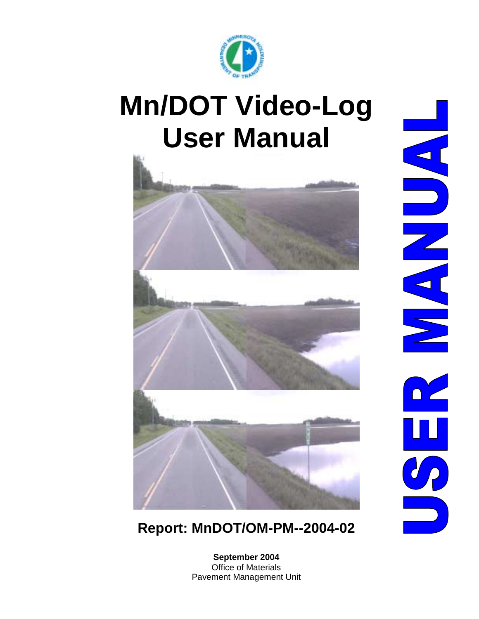

# **Mn/DOT Video-Log User Manual**



**Report: MnDOT/OM-PM--2004-02** 

**September 2004**  Office of Materials Pavement Management Unit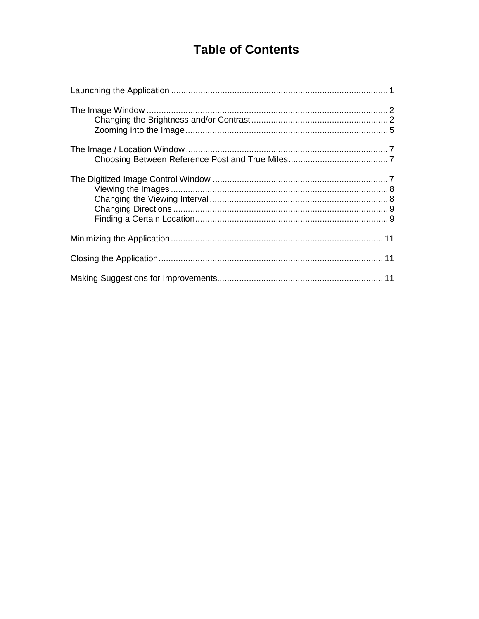# **Table of Contents**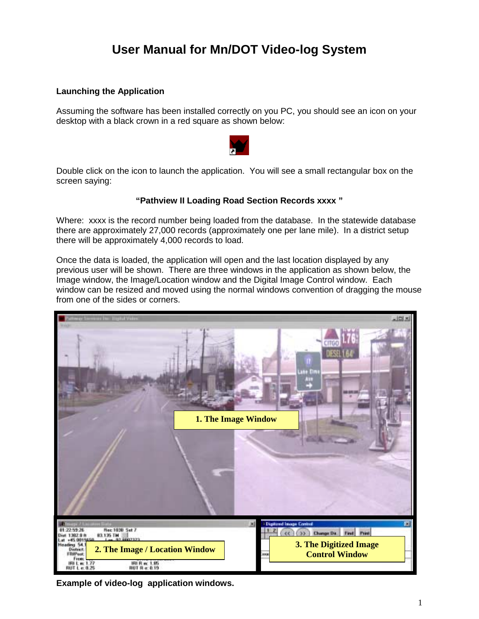# **User Manual for Mn/DOT Video-log System**

#### **Launching the Application**

Assuming the software has been installed correctly on you PC, you should see an icon on your desktop with a black crown in a red square as shown below:



Double click on the icon to launch the application. You will see a small rectangular box on the screen saying:

## **"Pathview II Loading Road Section Records xxxx "**

Where: xxxx is the record number being loaded from the database. In the statewide database there are approximately 27,000 records (approximately one per lane mile). In a district setup there will be approximately 4,000 records to load.

Once the data is loaded, the application will open and the last location displayed by any previous user will be shown. There are three windows in the application as shown below, the Image window, the Image/Location window and the Digital Image Control window. Each window can be resized and moved using the normal windows convention of dragging the mouse from one of the sides or corners.



**Example of video-log application windows.**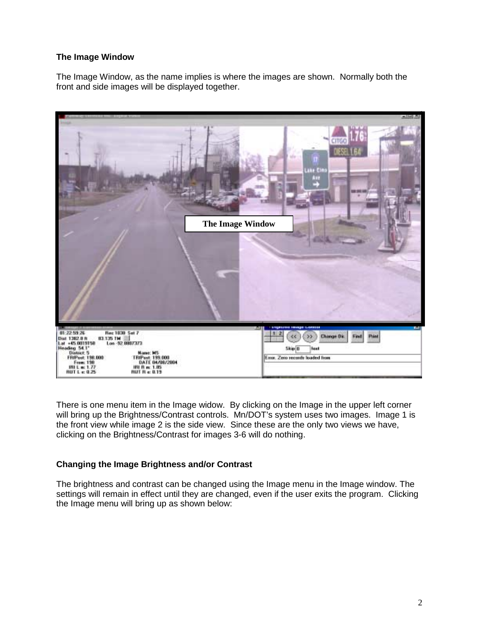# **The Image Window**

The Image Window, as the name implies is where the images are shown. Normally both the front and side images will be displayed together.



There is one menu item in the Image widow. By clicking on the Image in the upper left corner will bring up the Brightness/Contrast controls. Mn/DOT's system uses two images. Image 1 is the front view while image 2 is the side view. Since these are the only two views we have, clicking on the Brightness/Contrast for images 3-6 will do nothing.

## **Changing the Image Brightness and/or Contrast**

The brightness and contrast can be changed using the Image menu in the Image window. The settings will remain in effect until they are changed, even if the user exits the program. Clicking the Image menu will bring up as shown below: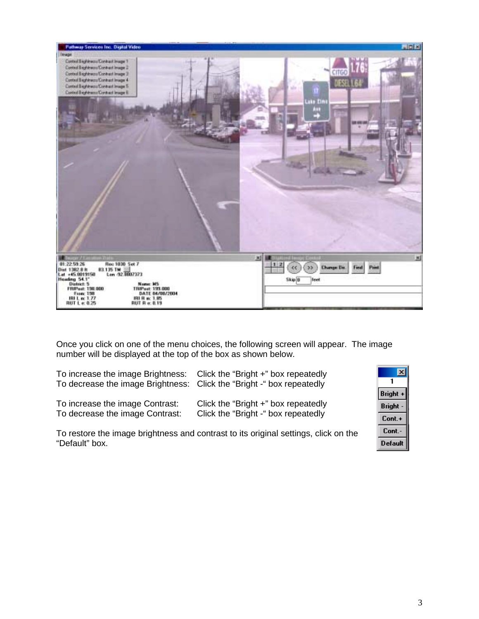

Once you click on one of the menu choices, the following screen will appear. The image number will be displayed at the top of the box as shown below.

| To increase the image Brightness: Click the "Bright +" box repeatedly<br>To decrease the image Brightness: Click the "Bright -" box repeatedly |                                     |
|------------------------------------------------------------------------------------------------------------------------------------------------|-------------------------------------|
| To increase the image Contrast:                                                                                                                | Click the "Bright +" box repeatedly |
| To decrease the image Contrast:                                                                                                                | Click the "Bright -" box repeatedly |

To restore the image brightness and contrast to its original settings, click on the "Default" box.

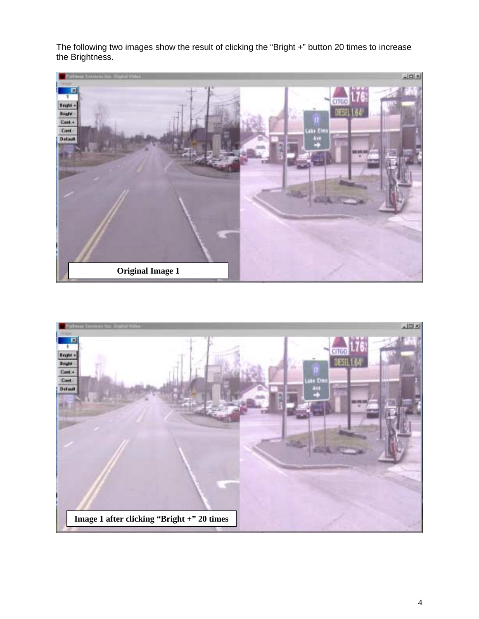The following two images show the result of clicking the "Bright +" button 20 times to increase the Brightness.



![](_page_5_Picture_2.jpeg)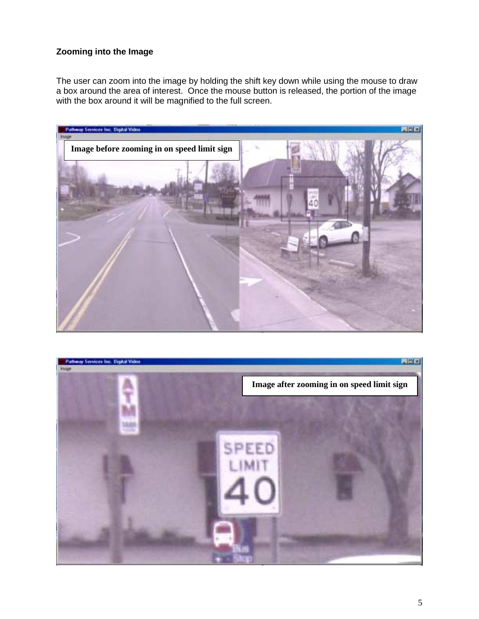# **Zooming into the Image**

The user can zoom into the image by holding the shift key down while using the mouse to draw a box around the area of interest. Once the mouse button is released, the portion of the image with the box around it will be magnified to the full screen.

![](_page_6_Picture_2.jpeg)

![](_page_6_Picture_3.jpeg)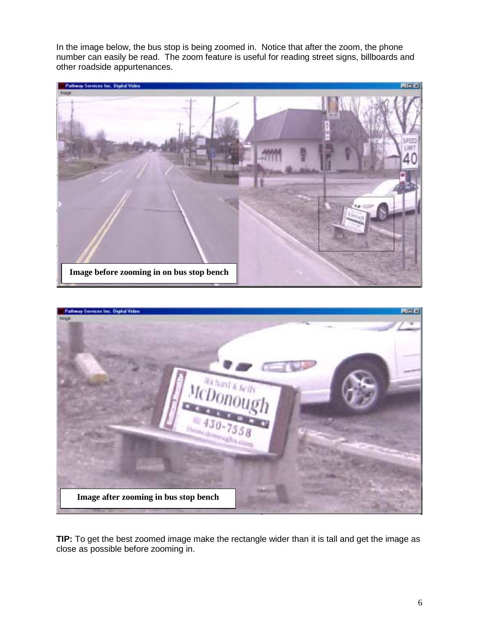In the image below, the bus stop is being zoomed in. Notice that after the zoom, the phone number can easily be read. The zoom feature is useful for reading street signs, billboards and other roadside appurtenances.

![](_page_7_Picture_1.jpeg)

![](_page_7_Picture_2.jpeg)

**TIP:** To get the best zoomed image make the rectangle wider than it is tall and get the image as close as possible before zooming in.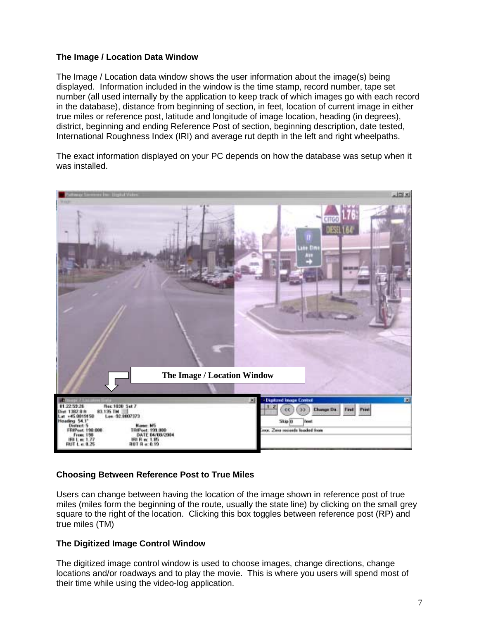# **The Image / Location Data Window**

The Image / Location data window shows the user information about the image(s) being displayed. Information included in the window is the time stamp, record number, tape set number (all used internally by the application to keep track of which images go with each record in the database), distance from beginning of section, in feet, location of current image in either true miles or reference post, latitude and longitude of image location, heading (in degrees), district, beginning and ending Reference Post of section, beginning description, date tested, International Roughness Index (IRI) and average rut depth in the left and right wheelpaths.

The exact information displayed on your PC depends on how the database was setup when it was installed.

![](_page_8_Picture_3.jpeg)

# **Choosing Between Reference Post to True Miles**

Users can change between having the location of the image shown in reference post of true miles (miles form the beginning of the route, usually the state line) by clicking on the small grey square to the right of the location. Clicking this box toggles between reference post (RP) and true miles (TM)

## **The Digitized Image Control Window**

The digitized image control window is used to choose images, change directions, change locations and/or roadways and to play the movie. This is where you users will spend most of their time while using the video-log application.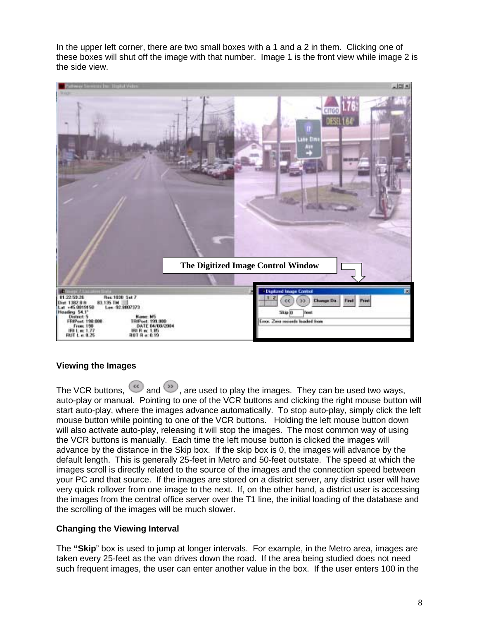In the upper left corner, there are two small boxes with a 1 and a 2 in them. Clicking one of these boxes will shut off the image with that number. Image 1 is the front view while image 2 is the side view.

![](_page_9_Picture_1.jpeg)

## **Viewing the Images**

The VCR buttons,  $\omega$  and  $\omega$ , are used to play the images. They can be used two ways, auto-play or manual. Pointing to one of the VCR buttons and clicking the right mouse button will start auto-play, where the images advance automatically. To stop auto-play, simply click the left mouse button while pointing to one of the VCR buttons. Holding the left mouse button down will also activate auto-play, releasing it will stop the images. The most common way of using the VCR buttons is manually. Each time the left mouse button is clicked the images will advance by the distance in the Skip box. If the skip box is 0, the images will advance by the default length. This is generally 25-feet in Metro and 50-feet outstate. The speed at which the images scroll is directly related to the source of the images and the connection speed between your PC and that source. If the images are stored on a district server, any district user will have very quick rollover from one image to the next. If, on the other hand, a district user is accessing the images from the central office server over the T1 line, the initial loading of the database and the scrolling of the images will be much slower.

## **Changing the Viewing Interval**

The **"Skip**" box is used to jump at longer intervals. For example, in the Metro area, images are taken every 25-feet as the van drives down the road. If the area being studied does not need such frequent images, the user can enter another value in the box. If the user enters 100 in the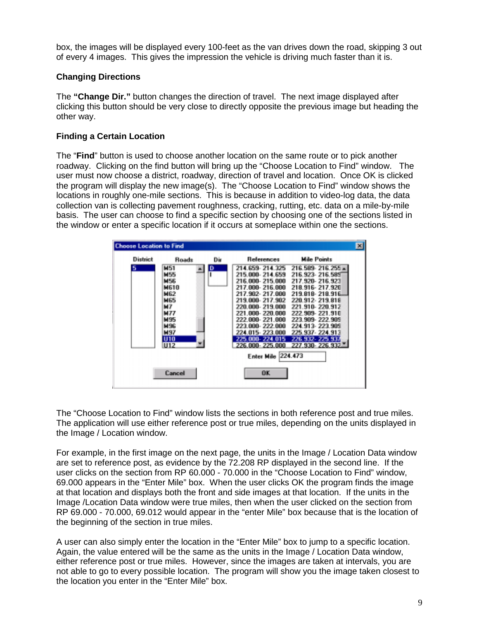box, the images will be displayed every 100-feet as the van drives down the road, skipping 3 out of every 4 images. This gives the impression the vehicle is driving much faster than it is.

# **Changing Directions**

The **"Change Dir."** button changes the direction of travel. The next image displayed after clicking this button should be very close to directly opposite the previous image but heading the other way.

# **Finding a Certain Location**

The "**Find**" button is used to choose another location on the same route or to pick another roadway. Clicking on the find button will bring up the "Choose Location to Find" window. The user must now choose a district, roadway, direction of travel and location. Once OK is clicked the program will display the new image(s). The "Choose Location to Find" window shows the locations in roughly one-mile sections. This is because in addition to video-log data, the data collection van is collecting pavement roughness, cracking, rutting, etc. data on a mile-by-mile basis. The user can choose to find a specific section by choosing one of the sections listed in the window or enter a specific location if it occurs at someplace within one the sections.

![](_page_10_Figure_5.jpeg)

The "Choose Location to Find" window lists the sections in both reference post and true miles. The application will use either reference post or true miles, depending on the units displayed in the Image / Location window.

For example, in the first image on the next page, the units in the Image / Location Data window are set to reference post, as evidence by the 72.208 RP displayed in the second line. If the user clicks on the section from RP 60.000 - 70.000 in the "Choose Location to Find" window, 69.000 appears in the "Enter Mile" box. When the user clicks OK the program finds the image at that location and displays both the front and side images at that location. If the units in the Image /Location Data window were true miles, then when the user clicked on the section from RP 69.000 - 70.000, 69.012 would appear in the "enter Mile" box because that is the location of the beginning of the section in true miles.

A user can also simply enter the location in the "Enter Mile" box to jump to a specific location. Again, the value entered will be the same as the units in the Image / Location Data window, either reference post or true miles. However, since the images are taken at intervals, you are not able to go to every possible location. The program will show you the image taken closest to the location you enter in the "Enter Mile" box.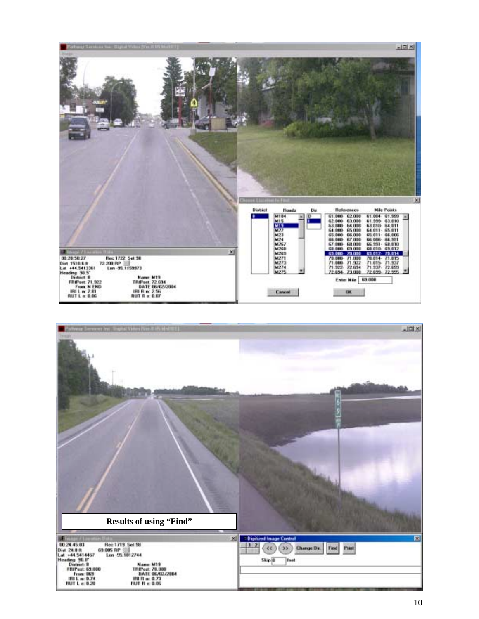![](_page_11_Figure_0.jpeg)

![](_page_11_Picture_1.jpeg)